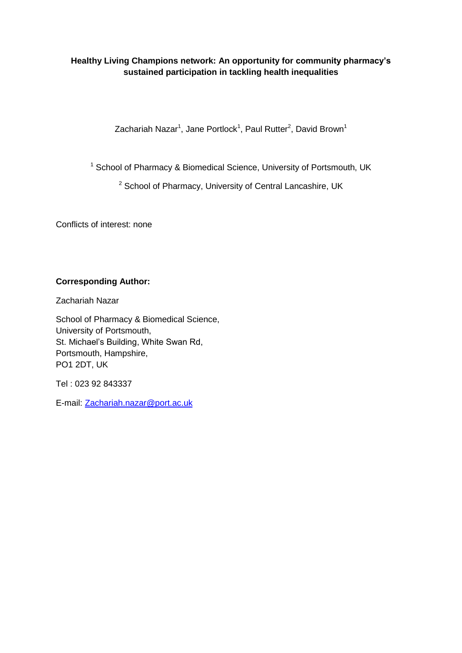# **Healthy Living Champions network: An opportunity for community pharmacy's sustained participation in tackling health inequalities**

Zachariah Nazar<sup>1</sup>, Jane Portlock<sup>1</sup>, Paul Rutter<sup>2</sup>, David Brown<sup>1</sup>

<sup>1</sup> School of Pharmacy & Biomedical Science, University of Portsmouth, UK

<sup>2</sup> School of Pharmacy, University of Central Lancashire, UK

Conflicts of interest: none

### **Corresponding Author:**

Zachariah Nazar

School of Pharmacy & Biomedical Science, University of Portsmouth, St. Michael's Building, White Swan Rd, Portsmouth, Hampshire, PO1 2DT, UK

Tel : 023 92 843337

E-mail: [Zachariah.nazar@port.ac.uk](mailto:Zachariah.nazar@port.ac.uk)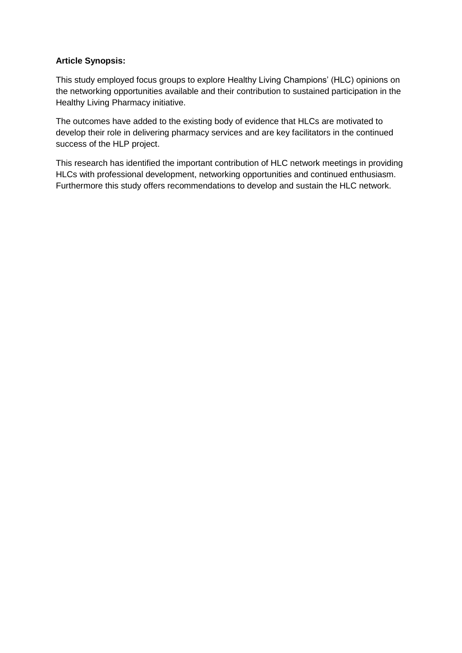### **Article Synopsis:**

This study employed focus groups to explore Healthy Living Champions' (HLC) opinions on the networking opportunities available and their contribution to sustained participation in the Healthy Living Pharmacy initiative.

The outcomes have added to the existing body of evidence that HLCs are motivated to develop their role in delivering pharmacy services and are key facilitators in the continued success of the HLP project.

This research has identified the important contribution of HLC network meetings in providing HLCs with professional development, networking opportunities and continued enthusiasm. Furthermore this study offers recommendations to develop and sustain the HLC network.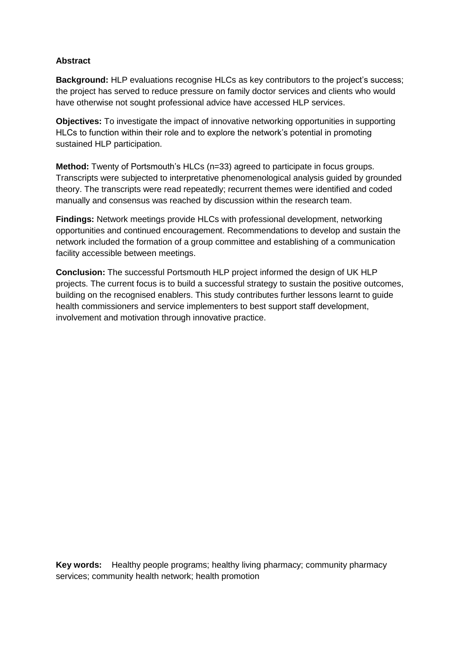### **Abstract**

**Background:** HLP evaluations recognise HLCs as key contributors to the project's success; the project has served to reduce pressure on family doctor services and clients who would have otherwise not sought professional advice have accessed HLP services.

**Objectives:** To investigate the impact of innovative networking opportunities in supporting HLCs to function within their role and to explore the network's potential in promoting sustained HLP participation.

**Method:** Twenty of Portsmouth's HLCs (n=33) agreed to participate in focus groups. Transcripts were subjected to interpretative phenomenological analysis guided by grounded theory. The transcripts were read repeatedly; recurrent themes were identified and coded manually and consensus was reached by discussion within the research team.

**Findings:** Network meetings provide HLCs with professional development, networking opportunities and continued encouragement. Recommendations to develop and sustain the network included the formation of a group committee and establishing of a communication facility accessible between meetings.

**Conclusion:** The successful Portsmouth HLP project informed the design of UK HLP projects. The current focus is to build a successful strategy to sustain the positive outcomes, building on the recognised enablers. This study contributes further lessons learnt to guide health commissioners and service implementers to best support staff development, involvement and motivation through innovative practice.

**Key words:** Healthy people programs; healthy living pharmacy; community pharmacy services; community health network; health promotion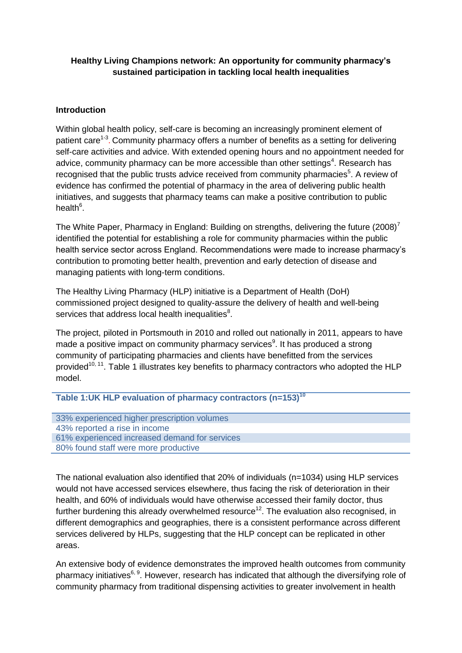# **Healthy Living Champions network: An opportunity for community pharmacy's sustained participation in tackling local health inequalities**

### **Introduction**

Within global health policy, self-care is becoming an increasingly prominent element of patient care<sup>[1-3](#page-8-0)</sup>. Community pharmacy offers a number of benefits as a setting for delivering self-care activities and advice. With extended opening hours and no appointment needed for advice, community pharmacy can be more acce[s](#page-8-1)sible than other settings<sup>4</sup>. Research has recognised that the public trusts advice received from community pharmacies<sup>[5](#page-8-2)</sup>. A review of evidence has confirmed the potential of pharmacy in the area of delivering public health initiatives, and suggests that pharmacy teams can make a positive contribution to public health<sup>[6](#page-9-0)</sup>.

The White Paper, Pharmacy in England: Building on strengths, delivering the future  $(2008)^7$  $(2008)^7$  $(2008)^7$ identified the potential for establishing a role for community pharmacies within the public health service sector across England. Recommendations were made to increase pharmacy's contribution to promoting better health, prevention and early detection of disease and managing patients with long-term conditions.

The Healthy Living Pharmacy (HLP) initiative is a Department of Health (DoH) commissioned project designed to quality-assure the delivery of health and well-being [s](#page-9-2)ervices that address local health inequalities $8$ .

The project, piloted in Portsmouth in 2010 and rolled out nationally in 2011, appears to have made a positive impact on community pharmacy services<sup>9</sup>[.](#page-9-3) It has produced a strong community of participating pharmacies and clients have benefitted from the services provided<sup>[10,](#page-9-4) [11](#page-9-5)</sup>. Table 1 illustrates key benefits to pharmacy contractors who adopted the HLP model.

#### **Table 1:UK HLP evaluation of pharmacy contractors (n=153)[10](#page-9-4)**

| 33% experienced higher prescription volumes   |
|-----------------------------------------------|
| 43% reported a rise in income                 |
| 61% experienced increased demand for services |
| 80% found staff were more productive          |

The national evaluation also identified that 20% of individuals (n=1034) using HLP services would not have accessed services elsewhere, thus facing the risk of deterioration in their health, and 60% of individuals would have otherwise accessed their family doctor, thus further burdening this already overwhelmed resource<sup>[12](#page-9-6)</sup>. The evaluation also recognised, in different demographics and geographies, there is a consistent performance across different services delivered by HLPs, suggesting that the HLP concept can be replicated in other areas.

An extensive body of evidence demonstrates the improved health outcomes from community pharmacy initiatives<sup>[6,](#page-9-0) [9](#page-9-3)</sup>. However, research has indicated that although the diversifying role of community pharmacy from traditional dispensing activities to greater involvement in health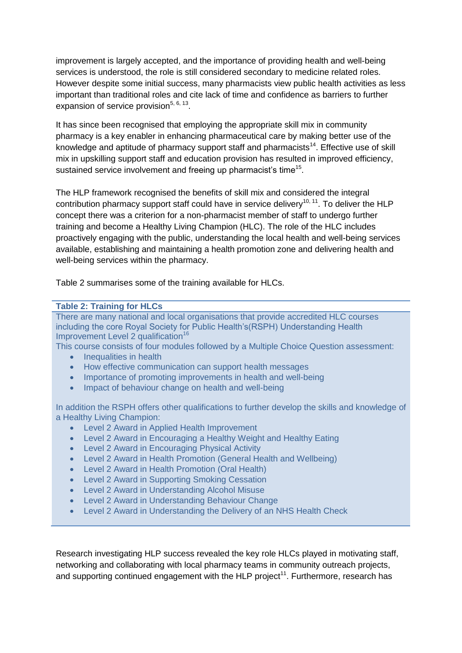improvement is largely accepted, and the importance of providing health and well-being services is understood, the role is still considered secondary to medicine related roles. However despite some initial success, many pharmacists view public health activities as less important than traditional roles and cite lack of time and confidence as barriers to further expansion of service provision<sup>[5,](#page-8-2) [6,](#page-9-0) [13](#page-9-7)</sup>.

It has since been recognised that employing the appropriate skill mix in community pharmacy is a key enabler in enhancing pharmaceutical care by making better use of the knowledge and aptitude of pharmacy support staff and pharmacists<sup>[14](#page-9-8)</sup>. Effective use of skill mix in upskilling support staff and education provision has resulted in improved efficiency, sustained service involvement and freeing up pharmacist's time<sup>[15](#page-9-9)</sup>.

The HLP framework recognised the benefits of skill mix and considered the integral contribution pharmacy support staff could have in service delivery<sup>[10,](#page-9-4) [11](#page-9-5)</sup>. To deliver the HLP concept there was a criterion for a non-pharmacist member of staff to undergo further training and become a Healthy Living Champion (HLC). The role of the HLC includes proactively engaging with the public, understanding the local health and well-being services available, establishing and maintaining a health promotion zone and delivering health and well-being services within the pharmacy.

Table 2 summarises some of the training available for HLCs.

### **Table 2: Training for HLCs**

There are many national and local organisations that provide accredited HLC courses including the core Royal Society for Public Health's(RSPH) Understanding Health Improvement Level 2 qualification<sup>[16](#page-9-10)</sup>

This course consists of four modules followed by a Multiple Choice Question assessment:

- Inequalities in health
- How effective communication can support health messages
- Importance of promoting improvements in health and well-being
- Impact of behaviour change on health and well-being

In addition the RSPH offers other qualifications to further develop the skills and knowledge of a Healthy Living Champion:

- Level 2 Award in Applied Health Improvement
- Level 2 Award in Encouraging a Healthy Weight and Healthy Eating
- Level 2 Award in Encouraging Physical Activity
- Level 2 Award in Health Promotion (General Health and Wellbeing)
- Level 2 Award in Health Promotion (Oral Health)
- Level 2 Award in Supporting Smoking Cessation
- Level 2 Award in Understanding Alcohol Misuse
- Level 2 Award in Understanding Behaviour Change
- Level 2 Award in Understanding the Delivery of an NHS Health Check

Research investigating HLP success revealed the key role HLCs played in motivating staff, networking and collaborating with local pharmacy teams in community outreach projects, and supporting continued engagement with the HLP project<sup>[11](#page-9-5)</sup>. Furthermore, research has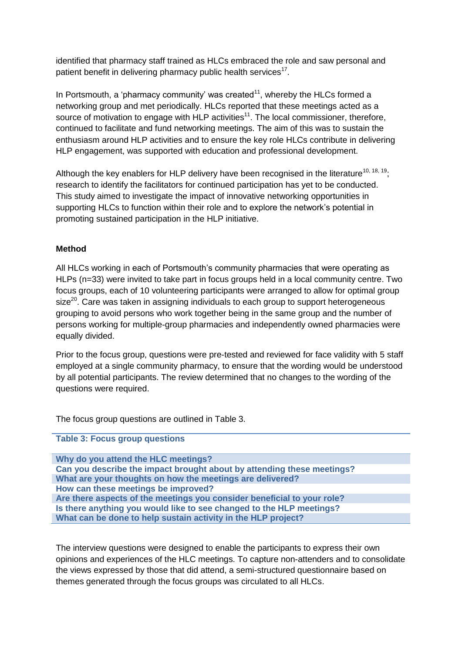identified that pharmacy staff trained as HLCs embraced the role and saw personal and patient benefit in delivering pharmacy public health services<sup>[17](#page-9-11)</sup>.

In Portsmouth, a 'pharmacy community' was created<sup>[11](#page-9-5)</sup>, whereby the HLCs formed a networking group and met periodically. HLCs reported that these meetings acted as a source of motivation to engage with HLP activities<sup>[11](#page-9-5)</sup>. The local commissioner, therefore, continued to facilitate and fund networking meetings. The aim of this was to sustain the enthusiasm around HLP activities and to ensure the key role HLCs contribute in delivering HLP engagement, was supported with education and professional development.

Although the key enablers for HLP delivery have been recognised in the literature<sup>[10,](#page-9-4) [18,](#page-9-12) [19](#page-9-13)</sup>; research to identify the facilitators for continued participation has yet to be conducted. This study aimed to investigate the impact of innovative networking opportunities in supporting HLCs to function within their role and to explore the network's potential in promoting sustained participation in the HLP initiative.

### **Method**

All HLCs working in each of Portsmouth's community pharmacies that were operating as HLPs (n=33) were invited to take part in focus groups held in a local community centre. Two focus groups, each of 10 volunteering participants were arranged to allow for optimal group size $^{20}$  $^{20}$  $^{20}$ . Care was taken in assigning individuals to each group to support heterogeneous grouping to avoid persons who work together being in the same group and the number of persons working for multiple-group pharmacies and independently owned pharmacies were equally divided.

Prior to the focus group, questions were pre-tested and reviewed for face validity with 5 staff employed at a single community pharmacy, to ensure that the wording would be understood by all potential participants. The review determined that no changes to the wording of the questions were required.

The focus group questions are outlined in Table 3.

#### **Table 3: Focus group questions**

**Why do you attend the HLC meetings? Can you describe the impact brought about by attending these meetings? What are your thoughts on how the meetings are delivered? How can these meetings be improved? Are there aspects of the meetings you consider beneficial to your role? Is there anything you would like to see changed to the HLP meetings? What can be done to help sustain activity in the HLP project?**

The interview questions were designed to enable the participants to express their own opinions and experiences of the HLC meetings. To capture non-attenders and to consolidate the views expressed by those that did attend, a semi-structured questionnaire based on themes generated through the focus groups was circulated to all HLCs.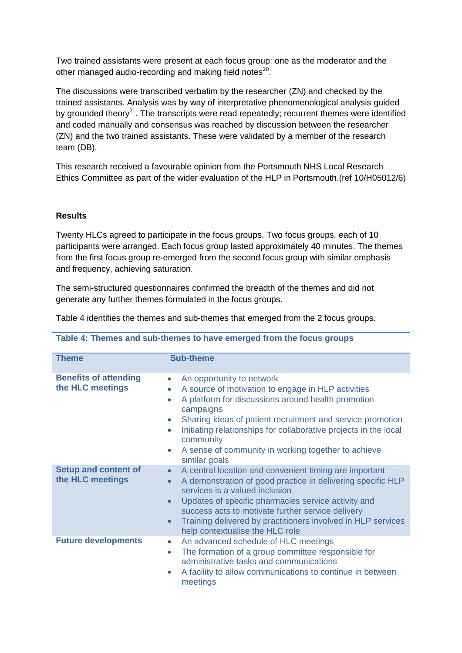Two trained assistants were present at each focus group: one as the moderator and the other managed audio-recording and making field notes $^{20}$  $^{20}$  $^{20}$ .

The discussions were transcribed verbatim by the researcher (ZN) and checked by the trained assistants. Analysis was by way of interpretative phenomenological analysis guided by grounded theory<sup>[21](#page-9-15)</sup>. The transcripts were read repeatedly; recurrent themes were identified and coded manually and consensus was reached by discussion between the researcher (ZN) and the two trained assistants. These were validated by a member of the research team (DB).

This research received a favourable opinion from the Portsmouth NHS Local Research Ethics Committee as part of the wider evaluation of the HLP in Portsmouth.(ref 10/H05012/6)

### **Results**

Twenty HLCs agreed to participate in the focus groups. Two focus groups, each of 10 participants were arranged. Each focus group lasted approximately 40 minutes. The themes from the first focus group re-emerged from the second focus group with similar emphasis and frequency, achieving saturation.

The semi-structured questionnaires confirmed the breadth of the themes and did not generate any further themes formulated in the focus groups.

Table 4 identifies the themes and sub-themes that emerged from the 2 focus groups.

| <b>Theme</b>                                     | <b>Sub-theme</b>                                                                                                                                                                                                                                                                                                                                                                                                                                |  |  |  |  |
|--------------------------------------------------|-------------------------------------------------------------------------------------------------------------------------------------------------------------------------------------------------------------------------------------------------------------------------------------------------------------------------------------------------------------------------------------------------------------------------------------------------|--|--|--|--|
| <b>Benefits of attending</b><br>the HLC meetings | An opportunity to network<br>$\bullet$<br>A source of motivation to engage in HLP activities<br>$\bullet$<br>A platform for discussions around health promotion<br>۰<br>campaigns<br>Sharing ideas of patient recruitment and service promotion<br>$\bullet$<br>Initiating relationships for collaborative projects in the local<br>$\bullet$<br>community<br>A sense of community in working together to achieve<br>$\bullet$<br>similar goals |  |  |  |  |
| <b>Setup and content of</b><br>the HLC meetings  | A central location and convenient timing are important<br>$\bullet$<br>A demonstration of good practice in delivering specific HLP<br>$\bullet$<br>services is a valued inclusion<br>Updates of specific pharmacies service activity and<br>$\bullet$<br>success acts to motivate further service delivery<br>Training delivered by practitioners involved in HLP services<br>$\bullet$<br>help contextualise the HLC role                      |  |  |  |  |
| <b>Future developments</b>                       | An advanced schedule of HLC meetings<br>$\bullet$<br>The formation of a group committee responsible for<br>۰<br>administrative tasks and communications<br>A facility to allow communications to continue in between<br>۰<br>meetings                                                                                                                                                                                                           |  |  |  |  |

|  | Table 4: Themes and sub-themes to have emerged from the focus groups |  |  |  |  |
|--|----------------------------------------------------------------------|--|--|--|--|
|  |                                                                      |  |  |  |  |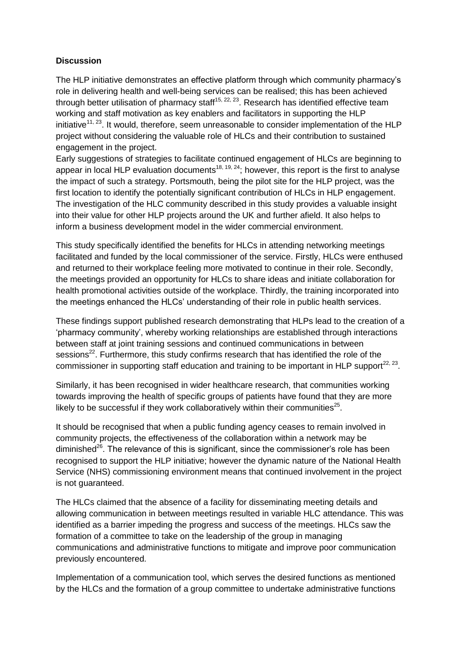# **Discussion**

The HLP initiative demonstrates an effective platform through which community pharmacy's role in delivering health and well-being services can be realised; this has been achieved through better utilisation of pharmacy staff<sup>[15,](#page-9-9) [22,](#page-9-16) [23](#page-9-17)</sup>. Research has identified effective team working and staff motivation as key enablers and facilitators in supporting the HLP initiative<sup>[11,](#page-9-5) [23](#page-9-17)</sup>. It would, therefore, seem unreasonable to consider implementation of the HLP project without considering the valuable role of HLCs and their contribution to sustained engagement in the project.

Early suggestions of strategies to facilitate continued engagement of HLCs are beginning to appear in local HLP evaluation documents<sup>[18,](#page-9-12) [19,](#page-9-13) [24](#page-9-18)</sup>; however, this report is the first to analyse the impact of such a strategy. Portsmouth, being the pilot site for the HLP project, was the first location to identify the potentially significant contribution of HLCs in HLP engagement. The investigation of the HLC community described in this study provides a valuable insight into their value for other HLP projects around the UK and further afield. It also helps to inform a business development model in the wider commercial environment.

This study specifically identified the benefits for HLCs in attending networking meetings facilitated and funded by the local commissioner of the service. Firstly, HLCs were enthused and returned to their workplace feeling more motivated to continue in their role. Secondly, the meetings provided an opportunity for HLCs to share ideas and initiate collaboration for health promotional activities outside of the workplace. Thirdly, the training incorporated into the meetings enhanced the HLCs' understanding of their role in public health services.

These findings support published research demonstrating that HLPs lead to the creation of a 'pharmacy community', whereby working relationships are established through interactions between staff at joint training sessions and continued communications in between sessions<sup>22</sup>. Furthermore, this study confirms research that has identified the role of the commissioner in supporting staff education and training to be important in HLP support<sup>[22,](#page-9-16) [23](#page-9-17)</sup>.

Similarly, it has been recognised in wider healthcare research, that communities working towards improving the health of specific groups of patients have found that they are more likely to be successful if they work collaboratively within their communities $^{25}$  $^{25}$  $^{25}$ .

It should be recognised that when a public funding agency ceases to remain involved in community projects, the effectiveness of the collaboration within a network may be diminished<sup>[26](#page-10-0)</sup>. The relevance of this is significant, since the commissioner's role has been recognised to support the HLP initiative; however the dynamic nature of the National Health Service (NHS) commissioning environment means that continued involvement in the project is not guaranteed.

The HLCs claimed that the absence of a facility for disseminating meeting details and allowing communication in between meetings resulted in variable HLC attendance. This was identified as a barrier impeding the progress and success of the meetings. HLCs saw the formation of a committee to take on the leadership of the group in managing communications and administrative functions to mitigate and improve poor communication previously encountered.

Implementation of a communication tool, which serves the desired functions as mentioned by the HLCs and the formation of a group committee to undertake administrative functions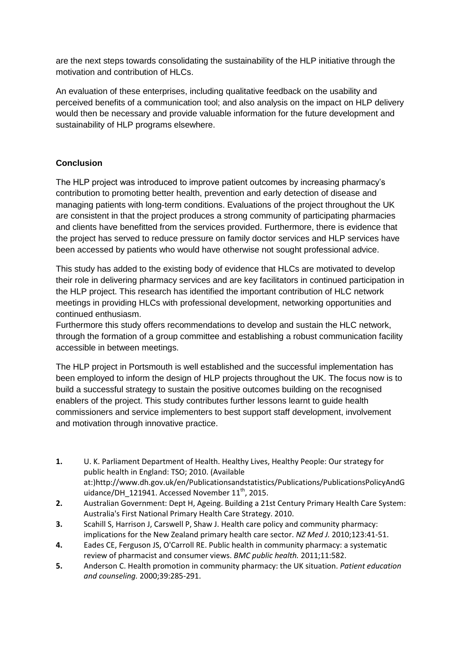are the next steps towards consolidating the sustainability of the HLP initiative through the motivation and contribution of HLCs.

An evaluation of these enterprises, including qualitative feedback on the usability and perceived benefits of a communication tool; and also analysis on the impact on HLP delivery would then be necessary and provide valuable information for the future development and sustainability of HLP programs elsewhere.

# **Conclusion**

The HLP project was introduced to improve patient outcomes by increasing pharmacy's contribution to promoting better health, prevention and early detection of disease and managing patients with long-term conditions. Evaluations of the project throughout the UK are consistent in that the project produces a strong community of participating pharmacies and clients have benefitted from the services provided. Furthermore, there is evidence that the project has served to reduce pressure on family doctor services and HLP services have been accessed by patients who would have otherwise not sought professional advice.

This study has added to the existing body of evidence that HLCs are motivated to develop their role in delivering pharmacy services and are key facilitators in continued participation in the HLP project. This research has identified the important contribution of HLC network meetings in providing HLCs with professional development, networking opportunities and continued enthusiasm.

Furthermore this study offers recommendations to develop and sustain the HLC network, through the formation of a group committee and establishing a robust communication facility accessible in between meetings.

The HLP project in Portsmouth is well established and the successful implementation has been employed to inform the design of HLP projects throughout the UK. The focus now is to build a successful strategy to sustain the positive outcomes building on the recognised enablers of the project. This study contributes further lessons learnt to guide health commissioners and service implementers to best support staff development, involvement and motivation through innovative practice.

- <span id="page-8-0"></span>**1.** U. K. Parliament Department of Health. Healthy Lives, Healthy People: Our strategy for public health in England: TSO; 2010. (Available at:)http://www.dh.gov.uk/en/Publicationsandstatistics/Publications/PublicationsPolicyAndG uidance/DH 121941. Accessed November  $11<sup>th</sup>$ , 2015.
- **2.** Australian Government: Dept H, Ageing. Building a 21st Century Primary Health Care System: Australia's First National Primary Health Care Strategy. 2010.
- **3.** Scahill S, Harrison J, Carswell P, Shaw J. Health care policy and community pharmacy: implications for the New Zealand primary health care sector. *NZ Med J.* 2010;123:41-51.
- <span id="page-8-1"></span>**4.** Eades CE, Ferguson JS, O'Carroll RE. Public health in community pharmacy: a systematic review of pharmacist and consumer views. *BMC public health.* 2011;11:582.
- <span id="page-8-2"></span>**5.** Anderson C. Health promotion in community pharmacy: the UK situation. *Patient education and counseling.* 2000;39:285-291.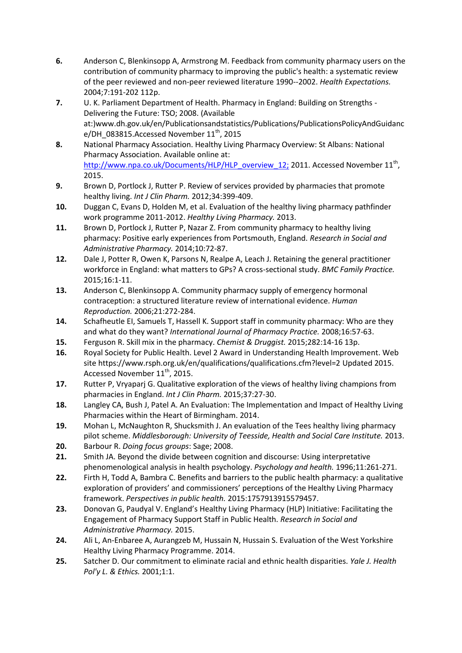- <span id="page-9-0"></span>**6.** Anderson C, Blenkinsopp A, Armstrong M. Feedback from community pharmacy users on the contribution of community pharmacy to improving the public's health: a systematic review of the peer reviewed and non-peer reviewed literature 1990--2002. *Health Expectations.* 2004;7:191-202 112p.
- <span id="page-9-1"></span>**7.** U. K. Parliament Department of Health. Pharmacy in England: Building on Strengths -Delivering the Future: TSO; 2008. (Available at:)www.dh.gov.uk/en/Publicationsandstatistics/Publications/PublicationsPolicyAndGuidanc e/DH\_083815.Accessed November  $11^{th}$ , 2015
- <span id="page-9-2"></span>**8.** National Pharmacy Association. Healthy Living Pharmacy Overview: St Albans: National Pharmacy Association. Available online at: [http://www.npa.co.uk/Documents/HLP/HLP\\_overview\\_12;](http://www.npa.co.uk/Documents/HLP/HLP_overview_12;) 2011. Accessed November 11<sup>th</sup>, 2015.
- <span id="page-9-3"></span>**9.** Brown D, Portlock J, Rutter P. Review of services provided by pharmacies that promote healthy living. *Int J Clin Pharm.* 2012;34:399-409.
- <span id="page-9-4"></span>**10.** Duggan C, Evans D, Holden M, et al. Evaluation of the healthy living pharmacy pathfinder work programme 2011-2012. *Healthy Living Pharmacy.* 2013.
- <span id="page-9-5"></span>**11.** Brown D, Portlock J, Rutter P, Nazar Z. From community pharmacy to healthy living pharmacy: Positive early experiences from Portsmouth, England. *Research in Social and Administrative Pharmacy.* 2014;10:72-87.
- <span id="page-9-6"></span>**12.** Dale J, Potter R, Owen K, Parsons N, Realpe A, Leach J. Retaining the general practitioner workforce in England: what matters to GPs? A cross-sectional study. *BMC Family Practice.* 2015;16:1-11.
- <span id="page-9-7"></span>**13.** Anderson C, Blenkinsopp A. Community pharmacy supply of emergency hormonal contraception: a structured literature review of international evidence. *Human Reproduction.* 2006;21:272-284.
- <span id="page-9-8"></span>**14.** Schafheutle EI, Samuels T, Hassell K. Support staff in community pharmacy: Who are they and what do they want? *International Journal of Pharmacy Practice.* 2008;16:57-63.
- <span id="page-9-9"></span>**15.** Ferguson R. Skill mix in the pharmacy. *Chemist & Druggist.* 2015;282:14-16 13p.
- <span id="page-9-10"></span>**16.** Royal Society for Public Health. Level 2 Award in Understanding Health Improvement. Web site https://www.rsph.org.uk/en/qualifications/qualifications.cfm?level=2 Updated 2015. Accessed November 11<sup>th</sup>, 2015.
- <span id="page-9-11"></span>**17.** Rutter P, Vryaparj G. Qualitative exploration of the views of healthy living champions from pharmacies in England. *Int J Clin Pharm.* 2015;37:27-30.
- <span id="page-9-12"></span>**18.** Langley CA, Bush J, Patel A. An Evaluation: The Implementation and Impact of Healthy Living Pharmacies within the Heart of Birmingham. 2014.
- <span id="page-9-13"></span>**19.** Mohan L, McNaughton R, Shucksmith J. An evaluation of the Tees healthy living pharmacy pilot scheme. *Middlesborough: University of Teesside, Health and Social Care Institute.* 2013.
- <span id="page-9-14"></span>**20.** Barbour R. *Doing focus groups*: Sage; 2008.
- <span id="page-9-15"></span>**21.** Smith JA. Beyond the divide between cognition and discourse: Using interpretative phenomenological analysis in health psychology. *Psychology and health.* 1996;11:261-271.
- <span id="page-9-16"></span>**22.** Firth H, Todd A, Bambra C. Benefits and barriers to the public health pharmacy: a qualitative exploration of providers' and commissioners' perceptions of the Healthy Living Pharmacy framework. *Perspectives in public health.* 2015:1757913915579457.
- <span id="page-9-17"></span>**23.** Donovan G, Paudyal V. England's Healthy Living Pharmacy (HLP) Initiative: Facilitating the Engagement of Pharmacy Support Staff in Public Health. *Research in Social and Administrative Pharmacy.* 2015.
- <span id="page-9-18"></span>**24.** Ali L, An-Enbaree A, Aurangzeb M, Hussain N, Hussain S. Evaluation of the West Yorkshire Healthy Living Pharmacy Programme. 2014.
- <span id="page-9-19"></span>**25.** Satcher D. Our commitment to eliminate racial and ethnic health disparities. *Yale J. Health Pol'y L. & Ethics.* 2001;1:1.